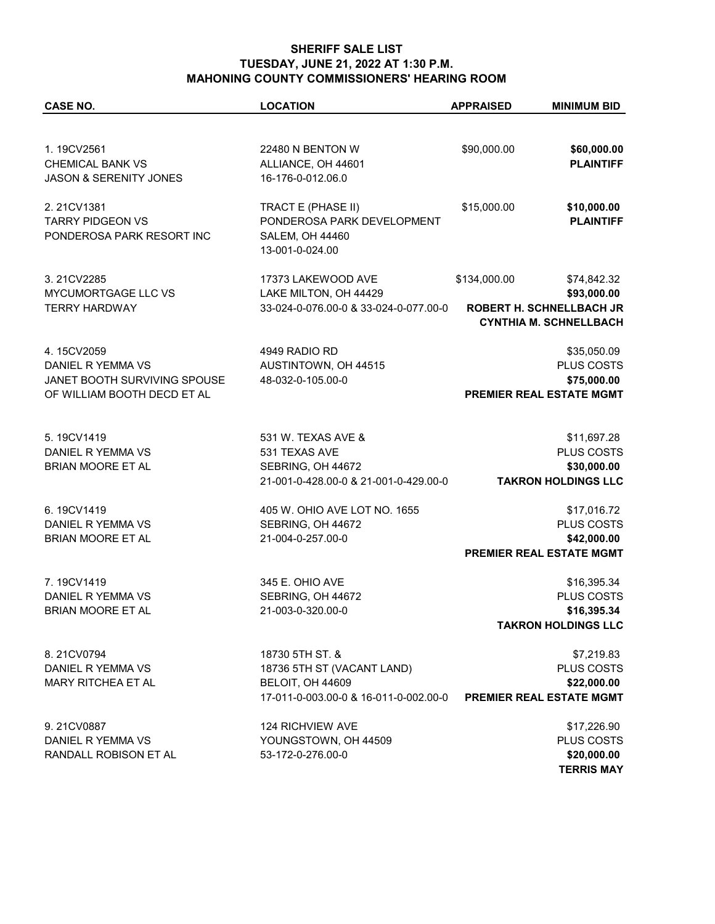| <b>CASE NO.</b>                   | <b>LOCATION</b>                                            | <b>APPRAISED</b> | <b>MINIMUM BID</b>                        |
|-----------------------------------|------------------------------------------------------------|------------------|-------------------------------------------|
|                                   |                                                            |                  |                                           |
| 1.19CV2561                        | 22480 N BENTON W                                           | \$90,000.00      | \$60,000.00                               |
| <b>CHEMICAL BANK VS</b>           | ALLIANCE, OH 44601                                         |                  | <b>PLAINTIFF</b>                          |
| <b>JASON &amp; SERENITY JONES</b> | 16-176-0-012.06.0                                          |                  |                                           |
| 2.21CV1381                        | TRACT E (PHASE II)                                         | \$15,000.00      | \$10,000.00                               |
| <b>TARRY PIDGEON VS</b>           | PONDEROSA PARK DEVELOPMENT                                 |                  | <b>PLAINTIFF</b>                          |
| PONDEROSA PARK RESORT INC         | SALEM, OH 44460                                            |                  |                                           |
|                                   | 13-001-0-024.00                                            |                  |                                           |
| 3.21CV2285                        | 17373 LAKEWOOD AVE                                         | \$134,000.00     | \$74,842.32                               |
| MYCUMORTGAGE LLC VS               | LAKE MILTON, OH 44429                                      |                  | \$93,000.00                               |
| <b>TERRY HARDWAY</b>              | 33-024-0-076.00-0 & 33-024-0-077.00-0                      |                  | <b>ROBERT H. SCHNELLBACH JR</b>           |
|                                   |                                                            |                  | <b>CYNTHIA M. SCHNELLBACH</b>             |
| 4.15CV2059                        | 4949 RADIO RD                                              |                  | \$35,050.09                               |
| DANIEL R YEMMA VS                 | AUSTINTOWN, OH 44515                                       |                  | PLUS COSTS                                |
| JANET BOOTH SURVIVING SPOUSE      | 48-032-0-105.00-0                                          |                  | \$75,000.00                               |
| OF WILLIAM BOOTH DECD ET AL       | <b>PREMIER REAL ESTATE MGMT</b>                            |                  |                                           |
| 5.19CV1419                        | 531 W. TEXAS AVE &                                         |                  |                                           |
|                                   |                                                            |                  | \$11,697.28                               |
| DANIEL R YEMMA VS                 | 531 TEXAS AVE                                              |                  | PLUS COSTS                                |
| BRIAN MOORE ET AL                 | SEBRING, OH 44672<br>21-001-0-428.00-0 & 21-001-0-429.00-0 |                  | \$30,000.00<br><b>TAKRON HOLDINGS LLC</b> |
|                                   |                                                            |                  |                                           |
| 6.19CV1419                        | 405 W. OHIO AVE LOT NO. 1655                               |                  | \$17,016.72                               |
| DANIEL R YEMMA VS                 | SEBRING, OH 44672                                          |                  | PLUS COSTS                                |
| BRIAN MOORE ET AL                 | 21-004-0-257.00-0                                          |                  | \$42,000.00                               |
|                                   |                                                            |                  | PREMIER REAL ESTATE MGMT                  |
| 7.19CV1419                        | 345 E. OHIO AVE                                            |                  | \$16,395.34                               |
| DANIEL R YEMMA VS                 | SEBRING, OH 44672                                          |                  | <b>PLUS COSTS</b>                         |
| <b>BRIAN MOORE ET AL</b>          | 21-003-0-320.00-0                                          |                  | \$16,395.34                               |
|                                   |                                                            |                  | TAKRON HOLDINGS LLC                       |
| 8.21CV0794                        | 18730 5TH ST. &                                            |                  | \$7,219.83                                |
| DANIEL R YEMMA VS                 | 18736 5TH ST (VACANT LAND)                                 |                  | PLUS COSTS                                |
| <b>MARY RITCHEA ET AL</b>         | BELOIT, OH 44609                                           |                  | \$22,000.00                               |
|                                   | 17-011-0-003.00-0 & 16-011-0-002.00-0                      |                  | PREMIER REAL ESTATE MGMT                  |
| 9.21CV0887                        | 124 RICHVIEW AVE                                           |                  | \$17,226.90                               |
| DANIEL R YEMMA VS                 | YOUNGSTOWN, OH 44509                                       |                  | PLUS COSTS                                |
| RANDALL ROBISON ET AL             | 53-172-0-276.00-0                                          |                  | \$20,000.00                               |
|                                   |                                                            |                  | <b>TERRIS MAY</b>                         |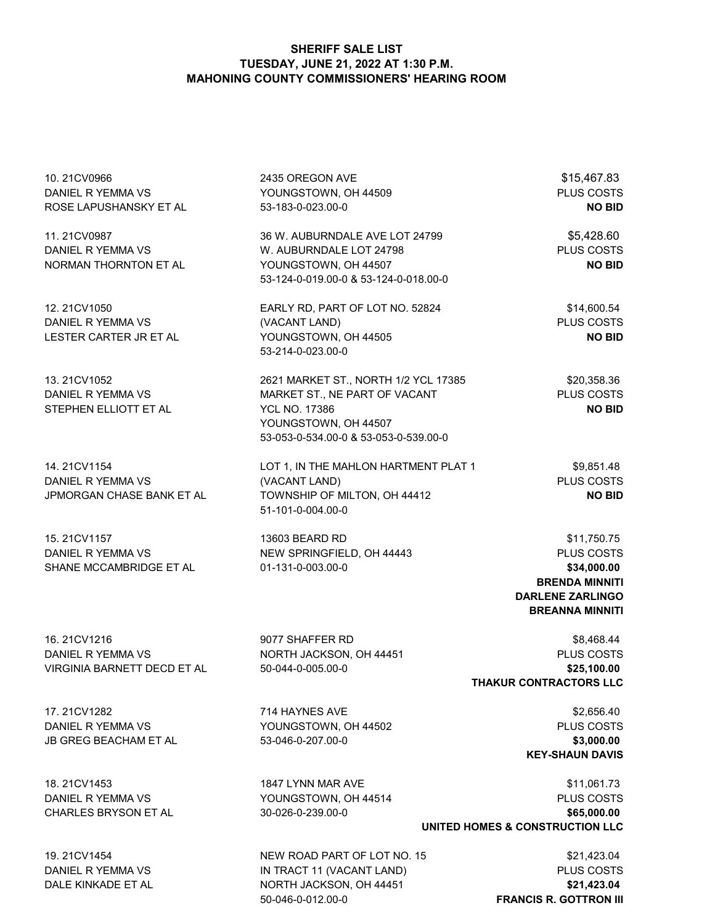| 10.21CV0966<br>DANIEL R YEMMA VS<br>ROSE LAPUSHANSKY ET AL      | 2435 OREGON AVE<br>YOUNGSTOWN, OH 44509<br>53-183-0-023.00-0                                                                                                   | \$15,467.83<br>PLUS COSTS<br><b>NO BID</b>                                                                             |
|-----------------------------------------------------------------|----------------------------------------------------------------------------------------------------------------------------------------------------------------|------------------------------------------------------------------------------------------------------------------------|
| 11.21CV0987<br>DANIEL R YEMMA VS<br>NORMAN THORNTON ET AL       | 36 W. AUBURNDALE AVE LOT 24799<br>W. AUBURNDALE LOT 24798<br>YOUNGSTOWN, OH 44507<br>53-124-0-019.00-0 & 53-124-0-018.00-0                                     | \$5,428.60<br>PLUS COSTS<br><b>NO BID</b>                                                                              |
| 12.21CV1050<br>DANIEL R YEMMA VS<br>LESTER CARTER JR ET AL      | EARLY RD, PART OF LOT NO. 52824<br>(VACANT LAND)<br>YOUNGSTOWN, OH 44505<br>53-214-0-023.00-0                                                                  | \$14,600.54<br><b>PLUS COSTS</b><br><b>NO BID</b>                                                                      |
| 13.21CV1052<br>DANIEL R YEMMA VS<br>STEPHEN ELLIOTT ET AL       | 2621 MARKET ST., NORTH 1/2 YCL 17385<br>MARKET ST., NE PART OF VACANT<br><b>YCL NO. 17386</b><br>YOUNGSTOWN, OH 44507<br>53-053-0-534.00-0 & 53-053-0-539.00-0 | \$20,358.36<br>PLUS COSTS<br><b>NO BID</b>                                                                             |
| 14.21CV1154<br>DANIEL R YEMMA VS<br>JPMORGAN CHASE BANK ET AL   | LOT 1, IN THE MAHLON HARTMENT PLAT 1<br>(VACANT LAND)<br>TOWNSHIP OF MILTON, OH 44412<br>51-101-0-004.00-0                                                     | \$9,851.48<br>PLUS COSTS<br><b>NO BID</b>                                                                              |
| 15.21CV1157<br>DANIEL R YEMMA VS<br>SHANE MCCAMBRIDGE ET AL     | 13603 BEARD RD<br>NEW SPRINGFIELD, OH 44443<br>01-131-0-003.00-0                                                                                               | \$11,750.75<br>PLUS COSTS<br>\$34,000.00<br><b>BRENDA MINNITI</b><br><b>DARLENE ZARLINGO</b><br><b>BREANNA MINNITI</b> |
| 16.21CV1216<br>DANIEL R YEMMA VS<br>VIRGINIA BARNETT DECD ET AL | 9077 SHAFFER RD<br>NORTH JACKSON, OH 44451<br>50-044-0-005.00-0                                                                                                | \$8,468.44<br>PLUS COSTS<br>\$25,100.00<br>THAKUR CONTRACTORS LLC                                                      |
| 17.21CV1282<br>DANIEL R YEMMA VS                                | 714 HAYNES AVE<br>YOUNGSTOWN, OH 44502                                                                                                                         | \$2,656.40<br><b>PLUS COSTS</b>                                                                                        |

JB GREG BEACHAM ET AL 53-046-0-207.00-0 **\$3,000.00**

18. 21CV1453 1847 LYNN MAR AVE \$11,061.73 DANIEL R YEMMA VS YOUNGSTOWN, OH 44514 PLUS COSTS CHARLES BRYSON ET AL 30-026-0-239.00-0 **\$65,000.00**

19. 21CV1454 **NEW ROAD PART OF LOT NO. 15 19. 21CV1454 \$21,423.04** DANIEL R YEMMA VS IN TRACT 11 (VACANT LAND) PLUS COSTS DALE KINKADE ET AL **NORTH JACKSON, OH 44451 \$21,423.04** 50-046-0-012.00-0 **FRANCIS R. GOTTRON III**

**UNITED HOMES & CONSTRUCTION LLC**

**KEY-SHAUN DAVIS**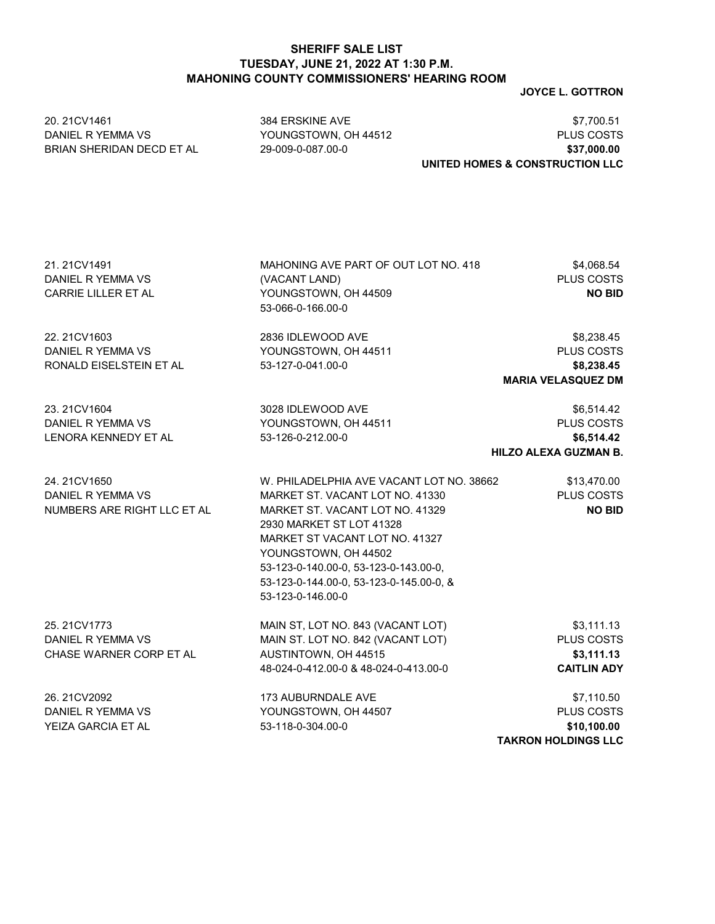20. 21CV1461 384 ERSKINE AVE \$7,700.51

**JOYCE L. GOTTRON**

DANIEL R YEMMA VS YOUNGSTOWN, OH 44512 PLUS COSTS BRIAN SHERIDAN DECD ET AL 29-009-0-087.00-0 **\$37,000.00 UNITED HOMES & CONSTRUCTION LLC** 21. 21CV1491 MAHONING AVE PART OF OUT LOT NO. 418 \$4,068.54 DANIEL R YEMMA VS (VACANT LAND) PLUS COSTS CARRIE LILLER ET AL YOUNGSTOWN, OH 44509 **NO BID** 53-066-0-166.00-0 22. 21CV1603 2836 IDLEWOOD AVE \$8,238.45 DANIEL R YEMMA VS YOUNGSTOWN, OH 44511 PLUS COSTS RONALD EISELSTEIN ET AL 53-127-0-041.00-0 **\$8,238.45 MARIA VELASQUEZ DM** 23. 21CV1604 **3028 IDLEWOOD AVE \$6,514.42** DANIEL R YEMMA VS YOUNGSTOWN, OH 44511 PLUS COSTS LENORA KENNEDY ET AL 53-126-0-212.00-0 **\$6,514.42 HILZO ALEXA GUZMAN B.** 24. 21CV1650 W. PHILADELPHIA AVE VACANT LOT NO. 38662 \$13,470.00 DANIEL R YEMMA VS MARKET ST. VACANT LOT NO. 41330 PLUS COSTS NUMBERS ARE RIGHT LLC ET AL MARKET ST. VACANT LOT NO. 41329 **NO BID** 2930 MARKET ST LOT 41328 MARKET ST VACANT LOT NO. 41327 YOUNGSTOWN, OH 44502 53-123-0-140.00-0, 53-123-0-143.00-0, 53-123-0-144.00-0, 53-123-0-145.00-0, & 53-123-0-146.00-0 25. 21CV1773 MAIN ST, LOT NO. 843 (VACANT LOT) \$3,111.13 DANIEL RYEMMA VS MAIN ST. LOT NO. 842 (VACANT LOT) PLUS COSTS CHASE WARNER CORP ET AL AUSTINTOWN, OH 44515 **\$3,111.13** 48-024-0-412.00-0 & 48-024-0-413.00-0 **CAITLIN ADY** 26. 21CV2092 173 AUBURNDALE AVE \$7,110.50 DANIEL R YEMMA VS YOUNGSTOWN, OH 44507 PLUS COSTS YEIZA GARCIA ET AL 53-118-0-304.00-0 **\$10,100.00 TAKRON HOLDINGS LLC**